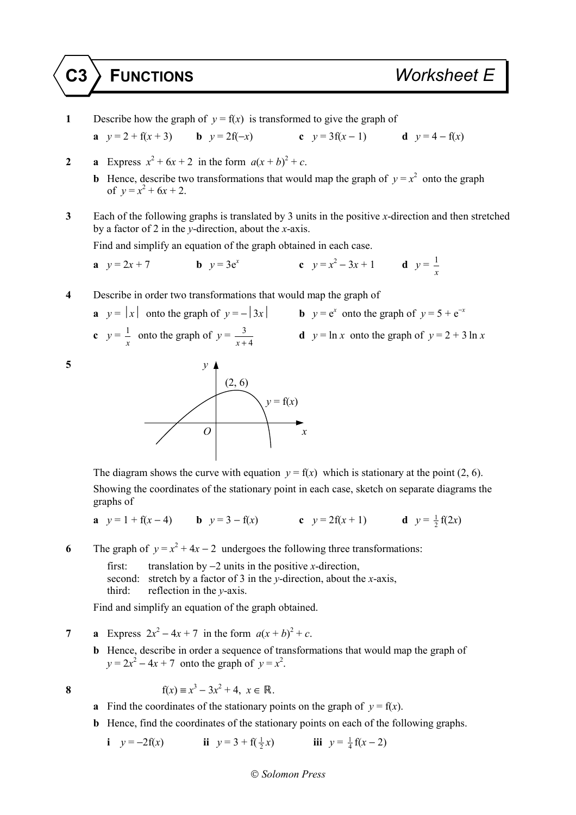**1** Describe how the graph of  $y = f(x)$  is transformed to give the graph of **a**  $y = 2 + f(x + 3)$  **b**  $y = 2f(-x)$  **c**  $y = 3f(x - 1)$  **d**  $y = 4 - f(x)$ **2 a** Express  $x^2 + 6x + 2$  in the form  $a(x + b)^2 + c$ . **b** Hence, describe two transformations that would map the graph of  $y = x^2$  onto the graph of  $y = x^2 + 6x + 2$ . **3** Each of the following graphs is translated by 3 units in the positive *x*-direction and then stretched by a factor of 2 in the *y*-direction, about the *x*-axis. Find and simplify an equation of the graph obtained in each case. **a**  $y = 2x + 7$  **b**  $y = 3e^x$  **c**  $y = x^2 - 3x + 1$  **d**  $y = \frac{1}{x}$ *x* **4** Describe in order two transformations that would map the graph of **a**  $y = |x|$  onto the graph of  $y = -|3x|$  **b**  $y = e^x$  onto the graph of  $y = 5 + e^{-x}$ **c**  $y = \frac{1}{x}$  $\frac{1}{x}$  onto the graph of  $y = \frac{3}{x+1}$ *x* + 4 **d**  $y = \ln x$  onto the graph of  $y = 2 + 3 \ln x$ **5** *y*  $(2, 6)$  $y = f(x)$ 

The diagram shows the curve with equation  $y = f(x)$  which is stationary at the point (2, 6). Showing the coordinates of the stationary point in each case, sketch on separate diagrams the

graphs of

**a**  $y = 1 + f(x - 4)$  **b**  $y = 3 - f(x)$  **c**  $y = 2f(x + 1)$  **d**  $y = \frac{1}{2}f(2x)$ 

**6** The graph of  $y = x^2 + 4x - 2$  undergoes the following three transformations:

 first: translation by −2 units in the positive *x*-direction, second: stretch by a factor of 3 in the *y*-direction, about the *x*-axis, third: reflection in the *y*-axis.

Find and simplify an equation of the graph obtained.

**7 a** Express  $2x^2 - 4x + 7$  in the form  $a(x + b)^2 + c$ .

*O x*

**b** Hence, describe in order a sequence of transformations that would map the graph of  $y = 2x^2 - 4x + 7$  onto the graph of  $y = x^2$ .

8 
$$
f(x) = x^3 - 3x^2 + 4, x \in \mathbb{R}
$$
.

- **a** Find the coordinates of the stationary points on the graph of  $y = f(x)$ .
- **b** Hence, find the coordinates of the stationary points on each of the following graphs.

**i**  $y = -2f(x)$  **ii**  $y = 3 + f(\frac{1}{2}x)$  $\frac{1}{2}x$ ) **iii**  $y = \frac{1}{4}f(x-2)$